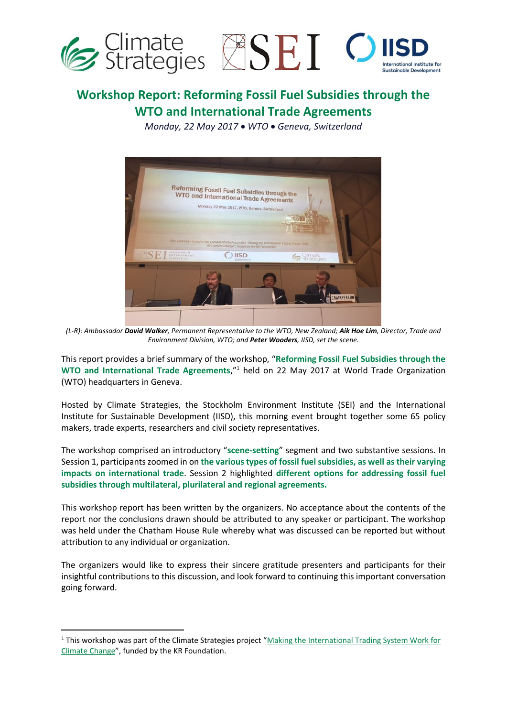

# **Workshop Report: Reforming Fossil Fuel Subsidies through the WTO and International Trade Agreements**

*Monday, 22 May 2017* • *WTO* • *Geneva, Switzerland*



*(L-R): Ambassador David Walker, Permanent Representative to the WTO, New Zealand; Aik Hoe Lim, Director, Trade and Environment Division, WTO; and Peter Wooders, IISD, set the scene.*

This report provides a brief summary of the workshop, "**Reforming Fossil Fuel Subsidies through the WTO and International Trade Agreements**,"<sup>1</sup> held on 22 May 2017 at World Trade Organization (WTO) headquarters in Geneva.

Hosted by Climate Strategies, the Stockholm Environment Institute (SEI) and the International Institute for Sustainable Development (IISD), this morning event brought together some 65 policy makers, trade experts, researchers and civil society representatives.

The workshop comprised an introductory "**scene-setting**" segment and two substantive sessions. In Session 1, participants zoomed in on **the various types of fossil fuel subsidies, as well as their varying impacts on international trade**. Session 2 highlighted **different options for addressing fossil fuel subsidies through multilateral, plurilateral and regional agreements.**

This workshop report has been written by the organizers. No acceptance about the contents of the report nor the conclusions drawn should be attributed to any speaker or participant. The workshop was held under the Chatham House Rule whereby what was discussed can be reported but without attribution to any individual or organization.

The organizers would like to express their sincere gratitude presenters and participants for their insightful contributions to this discussion, and look forward to continuing this important conversation going forward.

-

<sup>1</sup> This workshop was part of the Climate Strategies project "[Making the International Trading System Work for](http://climatestrategies.org/projects/making-the-international-trading-system-work-for-climate-change/)  [Climate Change](http://climatestrategies.org/projects/making-the-international-trading-system-work-for-climate-change/)", funded by the KR Foundation.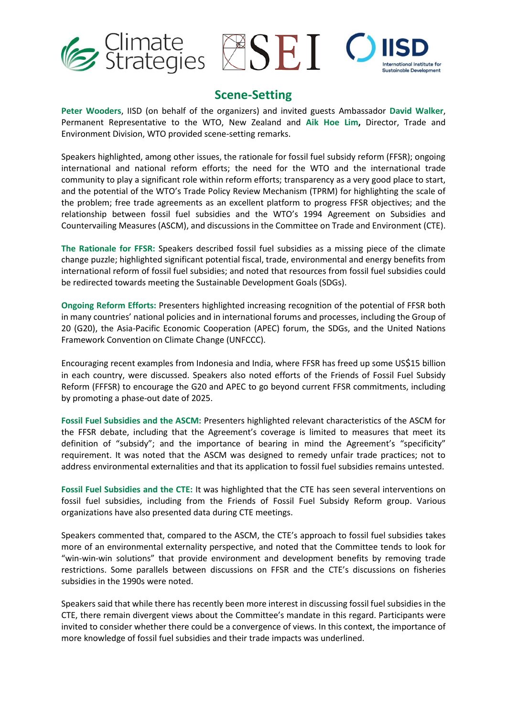



### **Scene-Setting**

**Peter Wooders**, IISD (on behalf of the organizers) and invited guests Ambassador **David Walker**, Permanent Representative to the WTO, New Zealand and **Aik Hoe Lim,** Director, Trade and Environment Division, WTO provided scene-setting remarks.

Speakers highlighted, among other issues, the rationale for fossil fuel subsidy reform (FFSR); ongoing international and national reform efforts; the need for the WTO and the international trade community to play a significant role within reform efforts; transparency as a very good place to start, and the potential of the WTO's Trade Policy Review Mechanism (TPRM) for highlighting the scale of the problem; free trade agreements as an excellent platform to progress FFSR objectives; and the relationship between fossil fuel subsidies and the WTO's 1994 Agreement on Subsidies and Countervailing Measures (ASCM), and discussions in the Committee on Trade and Environment (CTE).

**The Rationale for FFSR:** Speakers described fossil fuel subsidies as a missing piece of the climate change puzzle; highlighted significant potential fiscal, trade, environmental and energy benefits from international reform of fossil fuel subsidies; and noted that resources from fossil fuel subsidies could be redirected towards meeting the Sustainable Development Goals (SDGs).

**Ongoing Reform Efforts:** Presenters highlighted increasing recognition of the potential of FFSR both in many countries' national policies and in international forums and processes, including the Group of 20 (G20), the Asia-Pacific Economic Cooperation (APEC) forum, the SDGs, and the United Nations Framework Convention on Climate Change (UNFCCC).

Encouraging recent examples from Indonesia and India, where FFSR has freed up some US\$15 billion in each country, were discussed. Speakers also noted efforts of the Friends of Fossil Fuel Subsidy Reform (FFFSR) to encourage the G20 and APEC to go beyond current FFSR commitments, including by promoting a phase-out date of 2025.

**Fossil Fuel Subsidies and the ASCM:** Presenters highlighted relevant characteristics of the ASCM for the FFSR debate, including that the Agreement's coverage is limited to measures that meet its definition of "subsidy"; and the importance of bearing in mind the Agreement's "specificity" requirement. It was noted that the ASCM was designed to remedy unfair trade practices; not to address environmental externalities and that its application to fossil fuel subsidies remains untested.

**Fossil Fuel Subsidies and the CTE:** It was highlighted that the CTE has seen several interventions on fossil fuel subsidies, including from the Friends of Fossil Fuel Subsidy Reform group. Various organizations have also presented data during CTE meetings.

Speakers commented that, compared to the ASCM, the CTE's approach to fossil fuel subsidies takes more of an environmental externality perspective, and noted that the Committee tends to look for "win-win-win solutions" that provide environment and development benefits by removing trade restrictions. Some parallels between discussions on FFSR and the CTE's discussions on fisheries subsidies in the 1990s were noted.

Speakers said that while there has recently been more interest in discussing fossil fuel subsidies in the CTE, there remain divergent views about the Committee's mandate in this regard. Participants were invited to consider whether there could be a convergence of views. In this context, the importance of more knowledge of fossil fuel subsidies and their trade impacts was underlined.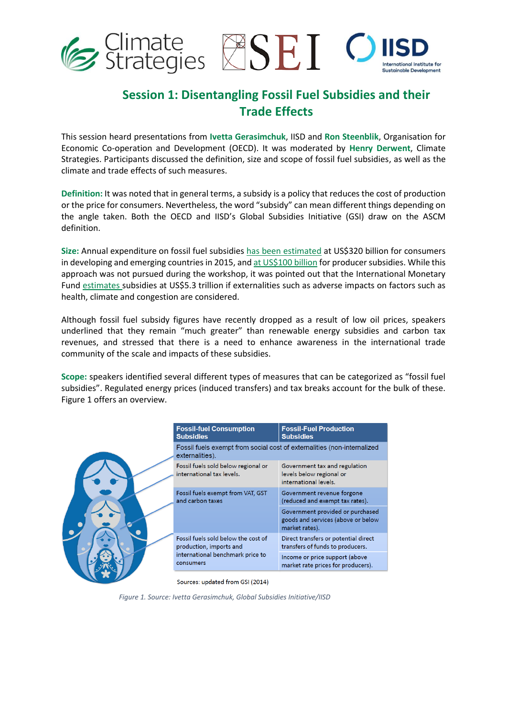

## **Session 1: Disentangling Fossil Fuel Subsidies and their Trade Effects**

This session heard presentations from **Ivetta Gerasimchuk**, IISD and **Ron Steenblik**, Organisation for Economic Co-operation and Development (OECD). It was moderated by **Henry Derwent**, Climate Strategies. Participants discussed the definition, size and scope of fossil fuel subsidies, as well as the climate and trade effects of such measures.

**Definition:** It was noted that in general terms, a subsidy is a policy that reduces the cost of production or the price for consumers. Nevertheless, the word "subsidy" can mean different things depending on the angle taken. Both the OECD and IISD's Global Subsidies Initiative (GSI) draw on the ASCM definition.

**Size:** Annual expenditure on fossil fuel subsidies has been [estimated](http://www.iea.org/statistics/resources/energysubsidies/) at US\$320 billion for consumers in developing and emerging countries in 2015, an[d at US\\$100 billion](http://www.iisd.org/gsi/fossil-fuel-subsidies/fossil-fuels-what-cost) for producer subsidies. While this approach was not pursued during the workshop, it was pointed out that the International Monetary Fund [estimates](https://www.imf.org/external/pubs/ft/wp/2015/wp15105.pdf) subsidies at US\$5.3 trillion if externalities such as adverse impacts on factors such as health, climate and congestion are considered.

Although fossil fuel subsidy figures have recently dropped as a result of low oil prices, speakers underlined that they remain "much greater" than renewable energy subsidies and carbon tax revenues, and stressed that there is a need to enhance awareness in the international trade community of the scale and impacts of these subsidies.

**Scope:** speakers identified several different types of measures that can be categorized as "fossil fuel subsidies". Regulated energy prices (induced transfers) and tax breaks account for the bulk of these. Figure 1 offers an overview.

|  | <b>Fossil-fuel Consumption</b><br><b>Subsidies</b>                                                              | <b>Fossil-Fuel Production</b><br><b>Subsidies</b>                                        |
|--|-----------------------------------------------------------------------------------------------------------------|------------------------------------------------------------------------------------------|
|  | Fossil fuels exempt from social cost of externalities (non-internalized<br>externalities).                      |                                                                                          |
|  | Fossil fuels sold below regional or<br>international tax levels.                                                | Government tax and regulation<br>levels below regional or<br>international levels.       |
|  | Fossil fuels exempt from VAT, GST<br>and carbon taxes                                                           | Government revenue forgone<br>(reduced and exempt tax rates).                            |
|  |                                                                                                                 | Government provided or purchased<br>goods and services (above or below<br>market rates). |
|  | Fossil fuels sold below the cost of<br>production, imports and<br>international benchmark price to<br>consumers | Direct transfers or potential direct<br>transfers of funds to producers.                 |
|  |                                                                                                                 | Income or price support (above<br>market rate prices for producers).                     |

Sources: updated from GSI (2014)

*Figure 1. Source: Ivetta Gerasimchuk, Global Subsidies Initiative/IISD*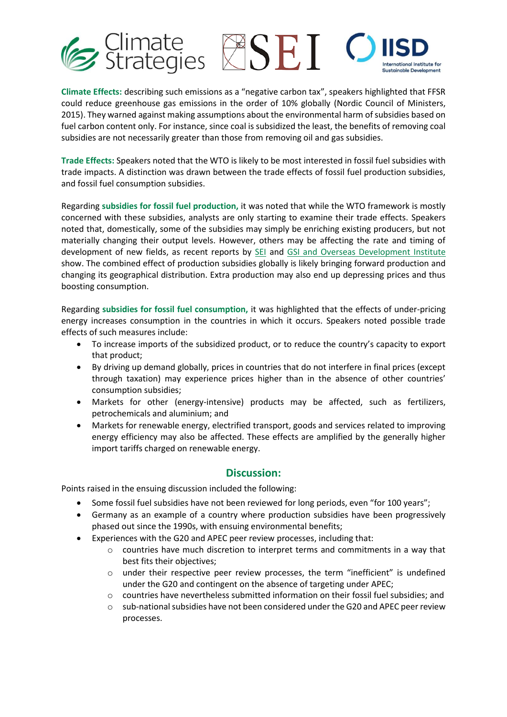

**Climate Effects:** describing such emissions as a "negative carbon tax", speakers highlighted that FFSR could reduce greenhouse gas emissions in the order of 10% globally (Nordic Council of Ministers, 2015). They warned against making assumptions about the environmental harm of subsidies based on fuel carbon content only. For instance, since coal is subsidized the least, the benefits of removing coal subsidies are not necessarily greater than those from removing oil and gas subsidies.

**Trade Effects:** Speakers noted that the WTO is likely to be most interested in fossil fuel subsidies with trade impacts. A distinction was drawn between the trade effects of fossil fuel production subsidies, and fossil fuel consumption subsidies.

Regarding **subsidies for fossil fuel production,** it was noted that while the WTO framework is mostly concerned with these subsidies, analysts are only starting to examine their trade effects. Speakers noted that, domestically, some of the subsidies may simply be enriching existing producers, but not materially changing their output levels. However, others may be affecting the rate and timing of development of new fields, as recent reports by **SEI** and [GSI and Overseas Development Institute](http://www.iisd.org/library/zombie-energy-climate-benefits-ending-subsidies-fossil-fuel-production) show. The combined effect of production subsidies globally is likely bringing forward production and changing its geographical distribution. Extra production may also end up depressing prices and thus boosting consumption.

Regarding **subsidies for fossil fuel consumption,** it was highlighted that the effects of under-pricing energy increases consumption in the countries in which it occurs. Speakers noted possible trade effects of such measures include:

- To increase imports of the subsidized product, or to reduce the country's capacity to export that product;
- By driving up demand globally, prices in countries that do not interfere in final prices (except through taxation) may experience prices higher than in the absence of other countries' consumption subsidies;
- Markets for other (energy-intensive) products may be affected, such as fertilizers, petrochemicals and aluminium; and
- Markets for renewable energy, electrified transport, goods and services related to improving energy efficiency may also be affected. These effects are amplified by the generally higher import tariffs charged on renewable energy.

### **Discussion:**

Points raised in the ensuing discussion included the following:

- Some fossil fuel subsidies have not been reviewed for long periods, even "for 100 years";
- Germany as an example of a country where production subsidies have been progressively phased out since the 1990s, with ensuing environmental benefits;
- Experiences with the G20 and APEC peer review processes, including that:
	- o countries have much discretion to interpret terms and commitments in a way that best fits their objectives;
	- o under their respective peer review processes, the term "inefficient" is undefined under the G20 and contingent on the absence of targeting under APEC;
	- o countries have nevertheless submitted information on their fossil fuel subsidies; and
	- $\circ$  sub-national subsidies have not been considered under the G20 and APEC peer review processes.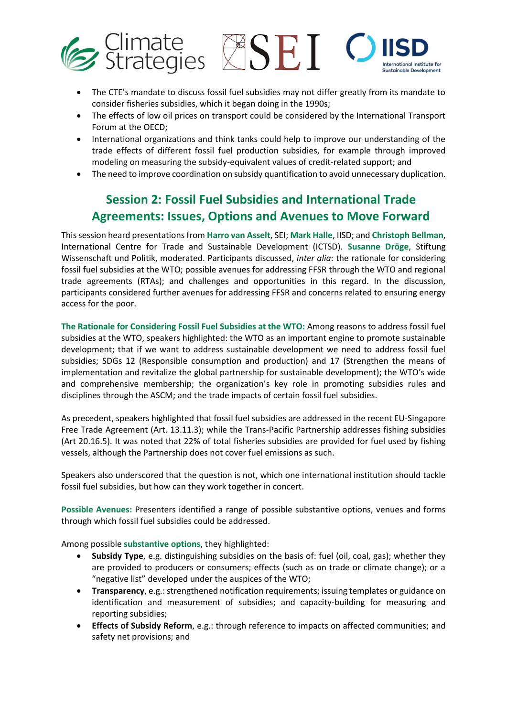

- The CTE's mandate to discuss fossil fuel subsidies may not differ greatly from its mandate to consider fisheries subsidies, which it began doing in the 1990s;
- The effects of low oil prices on transport could be considered by the International Transport Forum at the OECD;
- International organizations and think tanks could help to improve our understanding of the trade effects of different fossil fuel production subsidies, for example through improved modeling on measuring the subsidy-equivalent values of credit-related support; and
- The need to improve coordination on subsidy quantification to avoid unnecessary duplication.

## **Session 2: Fossil Fuel Subsidies and International Trade Agreements: Issues, Options and Avenues to Move Forward**

This session heard presentations from **Harro van Asselt**, SEI; **Mark Halle**, IISD; and **Christoph Bellman**, International Centre for Trade and Sustainable Development (ICTSD). **Susanne Dröge**, Stiftung Wissenschaft und Politik, moderated. Participants discussed, *inter alia*: the rationale for considering fossil fuel subsidies at the WTO; possible avenues for addressing FFSR through the WTO and regional trade agreements (RTAs); and challenges and opportunities in this regard. In the discussion, participants considered further avenues for addressing FFSR and concerns related to ensuring energy access for the poor.

**The Rationale for Considering Fossil Fuel Subsidies at the WTO:** Among reasons to address fossil fuel subsidies at the WTO, speakers highlighted: the WTO as an important engine to promote sustainable development; that if we want to address sustainable development we need to address fossil fuel subsidies; SDGs 12 (Responsible consumption and production) and 17 (Strengthen the means of implementation and revitalize the global partnership for sustainable development); the WTO's wide and comprehensive membership; the organization's key role in promoting subsidies rules and disciplines through the ASCM; and the trade impacts of certain fossil fuel subsidies.

As precedent, speakers highlighted that fossil fuel subsidies are addressed in the recent EU-Singapore Free Trade Agreement (Art. 13.11.3); while the Trans-Pacific Partnership addresses fishing subsidies (Art 20.16.5). It was noted that 22% of total fisheries subsidies are provided for fuel used by fishing vessels, although the Partnership does not cover fuel emissions as such.

Speakers also underscored that the question is not, which one international institution should tackle fossil fuel subsidies, but how can they work together in concert.

**Possible Avenues:** Presenters identified a range of possible substantive options, venues and forms through which fossil fuel subsidies could be addressed.

Among possible **substantive options**, they highlighted:

- **Subsidy Type**, e.g. distinguishing subsidies on the basis of: fuel (oil, coal, gas); whether they are provided to producers or consumers; effects (such as on trade or climate change); or a "negative list" developed under the auspices of the WTO;
- **Transparency**, e.g.: strengthened notification requirements; issuing templates or guidance on identification and measurement of subsidies; and capacity-building for measuring and reporting subsidies;
- **Effects of Subsidy Reform**, e.g.: through reference to impacts on affected communities; and safety net provisions; and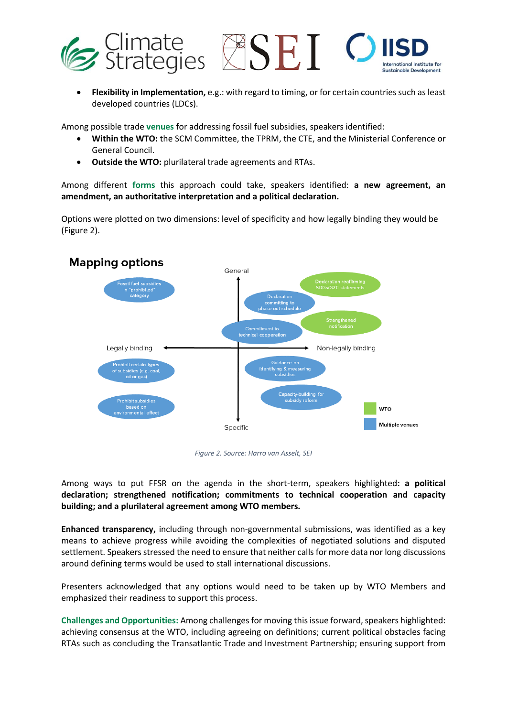

• **Flexibility in Implementation,** e.g.: with regard to timing, or for certain countries such as least developed countries (LDCs).

Among possible trade **venues** for addressing fossil fuel subsidies, speakers identified:

- **Within the WTO:** the SCM Committee, the TPRM, the CTE, and the Ministerial Conference or General Council.
- **Outside the WTO:** plurilateral trade agreements and RTAs.

Among different **forms** this approach could take, speakers identified: **a new agreement, an amendment, an authoritative interpretation and a political declaration.**

Options were plotted on two dimensions: level of specificity and how legally binding they would be (Figure 2).



*Figure 2. Source: Harro van Asselt, SEI*

Among ways to put FFSR on the agenda in the short-term, speakers highlighted**: a political declaration; strengthened notification; commitments to technical cooperation and capacity building; and a plurilateral agreement among WTO members.** 

**Enhanced transparency,** including through non-governmental submissions, was identified as a key means to achieve progress while avoiding the complexities of negotiated solutions and disputed settlement. Speakers stressed the need to ensure that neither calls for more data nor long discussions around defining terms would be used to stall international discussions.

Presenters acknowledged that any options would need to be taken up by WTO Members and emphasized their readiness to support this process.

**Challenges and Opportunities:** Among challenges for moving this issue forward, speakers highlighted: achieving consensus at the WTO, including agreeing on definitions; current political obstacles facing RTAs such as concluding the Transatlantic Trade and Investment Partnership; ensuring support from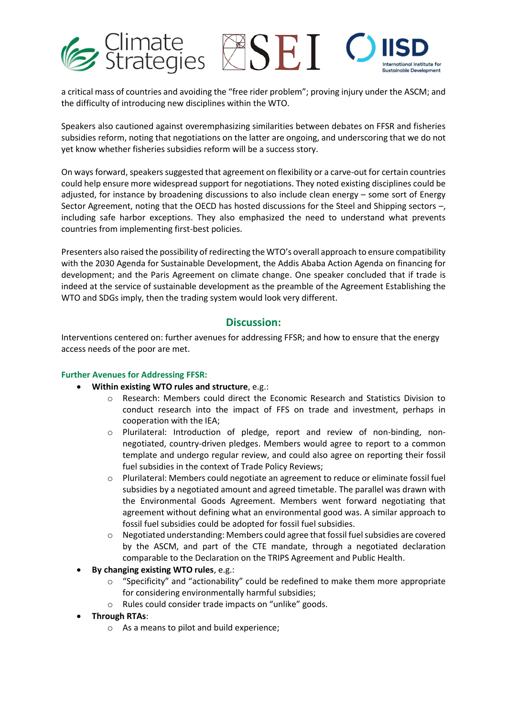

a critical mass of countries and avoiding the "free rider problem"; proving injury under the ASCM; and the difficulty of introducing new disciplines within the WTO.

Speakers also cautioned against overemphasizing similarities between debates on FFSR and fisheries subsidies reform, noting that negotiations on the latter are ongoing, and underscoring that we do not yet know whether fisheries subsidies reform will be a success story.

On ways forward, speakers suggested that agreement on flexibility or a carve-out for certain countries could help ensure more widespread support for negotiations. They noted existing disciplines could be adjusted, for instance by broadening discussions to also include clean energy – some sort of Energy Sector Agreement, noting that the OECD has hosted discussions for the Steel and Shipping sectors –, including safe harbor exceptions. They also emphasized the need to understand what prevents countries from implementing first-best policies.

Presenters also raised the possibility of redirecting the WTO's overall approach to ensure compatibility with the 2030 Agenda for Sustainable Development, the Addis Ababa Action Agenda on financing for development; and the Paris Agreement on climate change. One speaker concluded that if trade is indeed at the service of sustainable development as the preamble of the Agreement Establishing the WTO and SDGs imply, then the trading system would look very different.

### **Discussion:**

Interventions centered on: further avenues for addressing FFSR; and how to ensure that the energy access needs of the poor are met.

#### **Further Avenues for Addressing FFSR:**

- **Within existing WTO rules and structure**, e.g.:
	- o Research: Members could direct the Economic Research and Statistics Division to conduct research into the impact of FFS on trade and investment, perhaps in cooperation with the IEA;
	- o Plurilateral: Introduction of pledge, report and review of non-binding, nonnegotiated, country-driven pledges. Members would agree to report to a common template and undergo regular review, and could also agree on reporting their fossil fuel subsidies in the context of Trade Policy Reviews;
	- o Plurilateral: Members could negotiate an agreement to reduce or eliminate fossil fuel subsidies by a negotiated amount and agreed timetable. The parallel was drawn with the Environmental Goods Agreement. Members went forward negotiating that agreement without defining what an environmental good was. A similar approach to fossil fuel subsidies could be adopted for fossil fuel subsidies.
	- o Negotiated understanding: Members could agree that fossil fuel subsidies are covered by the ASCM, and part of the CTE mandate, through a negotiated declaration comparable to the Declaration on the TRIPS Agreement and Public Health.
- **By changing existing WTO rules**, e.g.:
	- o "Specificity" and "actionability" could be redefined to make them more appropriate for considering environmentally harmful subsidies;
	- o Rules could consider trade impacts on "unlike" goods.
- **Through RTAs**:
	- o As a means to pilot and build experience;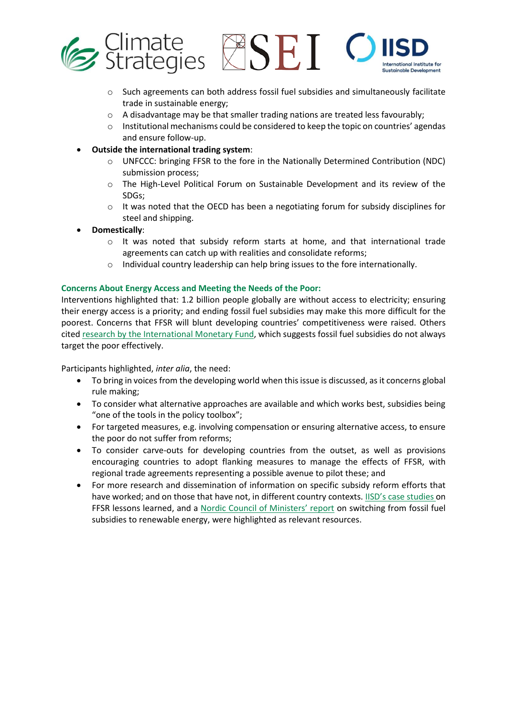

- o Such agreements can both address fossil fuel subsidies and simultaneously facilitate trade in sustainable energy;
- o A disadvantage may be that smaller trading nations are treated less favourably;
- o Institutional mechanisms could be considered to keep the topic on countries' agendas and ensure follow-up.
- **Outside the international trading system**:
	- UNFCCC: bringing FFSR to the fore in the Nationally Determined Contribution (NDC) submission process;
	- o The High-Level Political Forum on Sustainable Development and its review of the SDGs;
	- $\circ$  It was noted that the OECD has been a negotiating forum for subsidy disciplines for steel and shipping.
- **Domestically**:
	- o It was noted that subsidy reform starts at home, and that international trade agreements can catch up with realities and consolidate reforms;
	- o Individual country leadership can help bring issues to the fore internationally.

#### **Concerns About Energy Access and Meeting the Needs of the Poor:**

Interventions highlighted that: 1.2 billion people globally are without access to electricity; ensuring their energy access is a priority; and ending fossil fuel subsidies may make this more difficult for the poorest. Concerns that FFSR will blunt developing countries' competitiveness were raised. Others cite[d research by the International Monetary Fu](https://www.imf.org/external/pubs/ft/wp/2015/wp15250.pdf)nd, which suggests fossil fuel subsidies do not always target the poor effectively.

Participants highlighted, *inter alia*, the need:

- To bring in voices from the developing world when this issue is discussed, as it concerns global rule making;
- To consider what alternative approaches are available and which works best, subsidies being "one of the tools in the policy toolbox";
- For targeted measures, e.g. involving compensation or ensuring alternative access, to ensure the poor do not suffer from reforms;
- To consider carve-outs for developing countries from the outset, as well as provisions encouraging countries to adopt flanking measures to manage the effects of FFSR, with regional trade agreements representing a possible avenue to pilot these; and
- For more research and dissemination of information on specific subsidy reform efforts that have worked; and on those that have not, in different country contexts. [IISD's case studies](https://www.iisd.org/gsi/fossil-fuel-subsidies/case-studies-lessons-learned-attempts-reform-fossil-fuel-subsidies) on FFSR lessons learned, and a [Nordic Council of Ministers' report](https://norden.diva-portal.org/smash/get/diva2:1094676/FULLTEXT02.pdf) on switching from fossil fuel subsidies to renewable energy, were highlighted as relevant resources.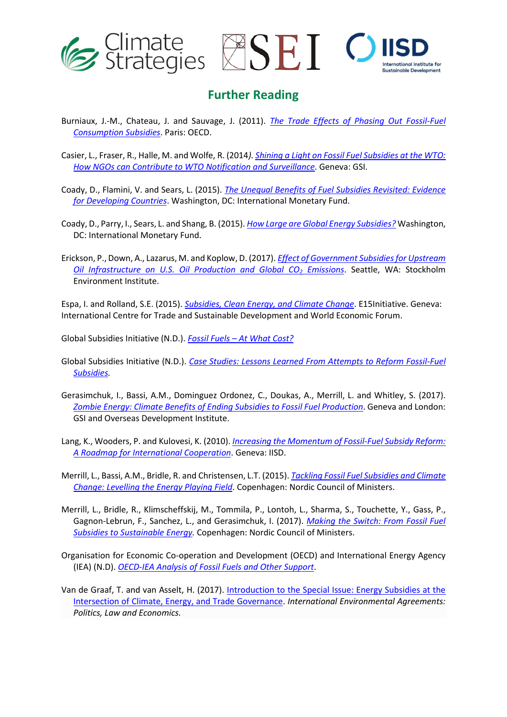

### **Further Reading**

- Burniaux, J.-M., Chateau, J. and Sauvage, J. (2011). *[The Trade Effects of Phasing Out Fossil-Fuel](http://www.oecd.org/officialdocuments/publicdisplaydocumentpdf/?cote=COM/TAD/ENV/JWPTE(2010)52/FINAL&docLanguage=En)  [Consumption Subsidies](http://www.oecd.org/officialdocuments/publicdisplaydocumentpdf/?cote=COM/TAD/ENV/JWPTE(2010)52/FINAL&docLanguage=En)*. Paris: OECD.
- Casier, L., Fraser, R., Halle, M. and Wolfe, R. (2014*). [Shining a Light on Fossil Fuel Subsidies at the WTO:](http://www.iisd.org/sites/default/files/publications/fossil_fuel_subsidies_WTO.pdf)  [How NGOs can Contribute to WTO Notification and Surveillance](http://www.iisd.org/sites/default/files/publications/fossil_fuel_subsidies_WTO.pdf)*. Geneva: GSI.
- Coady, D., Flamini, V. and Sears, L. (2015). *[The Unequal Benefits of Fuel Subsidies Revisited: Evidence](https://www.imf.org/external/pubs/ft/wp/2015/wp15250.pdf)  [for Developing Countries](https://www.imf.org/external/pubs/ft/wp/2015/wp15250.pdf)*. Washington, DC: International Monetary Fund.
- Coady, D., Parry, I., Sears, L. and Shang, B. (2015). *[How Large are Global Energy Subsidies?](https://www.imf.org/external/pubs/ft/wp/2015/wp15105.pdf)* Washington, DC: International Monetary Fund.
- Erickson, P., Down, A., Lazarus, M. and Koplow, D. (2017). *[Effect of Government Subsidies for Upstream](http://sei-us.org/Publications_PDF/SEI-WP-2017-02-US-oil-and-gas-production-subsidies.pdf)  [Oil Infrastructure on U.S. Oil Production and Global CO](http://sei-us.org/Publications_PDF/SEI-WP-2017-02-US-oil-and-gas-production-subsidies.pdf)<sup>2</sup> Emissions*. Seattle, WA: Stockholm Environment Institute.

Espa, I. and Rolland, S.E. (2015). *[Subsidies, Clean Energy, and Climate Change](http://www.iisd.org/sites/default/files/publications/fossil_fuel_subsidies_WTO.pdf)*. E15Initiative. Geneva: International Centre for Trade and Sustainable Development and World Economic Forum.

Global Subsidies Initiative (N.D.). *Fossil Fuels – [At What Cost?](http://www.iisd.org/gsi/fossil-fuel-subsidies/fossil-fuels-what-cost)*

- Global Subsidies Initiative (N.D.). *[Case Studies: Lessons Learned From Attempts to Reform Fossil-Fuel](https://www.iisd.org/gsi/fossil-fuel-subsidies/case-studies-lessons-learned-attempts-reform-fossil-fuel-subsidies) [Subsidies.](https://www.iisd.org/gsi/fossil-fuel-subsidies/case-studies-lessons-learned-attempts-reform-fossil-fuel-subsidies)*
- Gerasimchuk, I., Bassi, A.M., Dominguez Ordonez, C., Doukas, A., Merrill, L. and Whitley, S. (2017). *[Zombie Energy: Climate Benefits of Ending Subsidies to Fossil Fuel Production](http://www.iisd.org/library/zombie-energy-climate-benefits-ending-subsidies-fossil-fuel-production)*. Geneva and London: GSI and Overseas Development Institute.
- Lang, K., Wooders, P. and Kulovesi, K. (2010). *[Increasing the Momentum of Fossil-Fuel Subsidy Reform:](https://www.iisd.org/pdf/2010/increasing_momentum.pdf)  [A Roadmap for International Cooperation](https://www.iisd.org/pdf/2010/increasing_momentum.pdf)*. Geneva: IISD.
- Merrill, L., Bassi, A.M., Bridle, R. and Christensen, L.T. (2015). *[Tackling Fossil Fuel Subsidies and Climate](http://www.iisd.org/library/tackling-fossil-fuel-subsidies-and-climate-change) [Change: Levelling the Energy Playing Field](http://www.iisd.org/library/tackling-fossil-fuel-subsidies-and-climate-change)*. Copenhagen: Nordic Council of Ministers.
- Merrill, L., Bridle, R., Klimscheffskij, M., Tommila, P., Lontoh, L., Sharma, S., Touchette, Y., Gass, P., Gagnon-Lebrun, F., Sanchez, L., and Gerasimchuk, I. (2017). *[Making the Switch: From Fossil Fuel](http://norden.diva-portal.org/smash/record.jsf?pid=diva2%3A1094676&dswid=7463)  [Subsidies to Sustainable Energy.](http://norden.diva-portal.org/smash/record.jsf?pid=diva2%3A1094676&dswid=7463)* Copenhagen: Nordic Council of Ministers.
- Organisation for Economic Co-operation and Development (OECD) and International Energy Agency (IEA) (N.D). *[OECD-IEA Analysis of Fossil Fuels and Other Support](http://www.oecd.org/site/tadffss/)*.
- Van de Graaf, T. and van Asselt, H. (2017). [Introduction to the Special Issue: Energy Subsidies at the](https://link.springer.com/article/10.1007/s10784-017-9359-8)  [Intersection of Climate, Energy, and Trade Governance.](https://link.springer.com/article/10.1007/s10784-017-9359-8) *International Environmental Agreements: Politics, Law and Economics.*